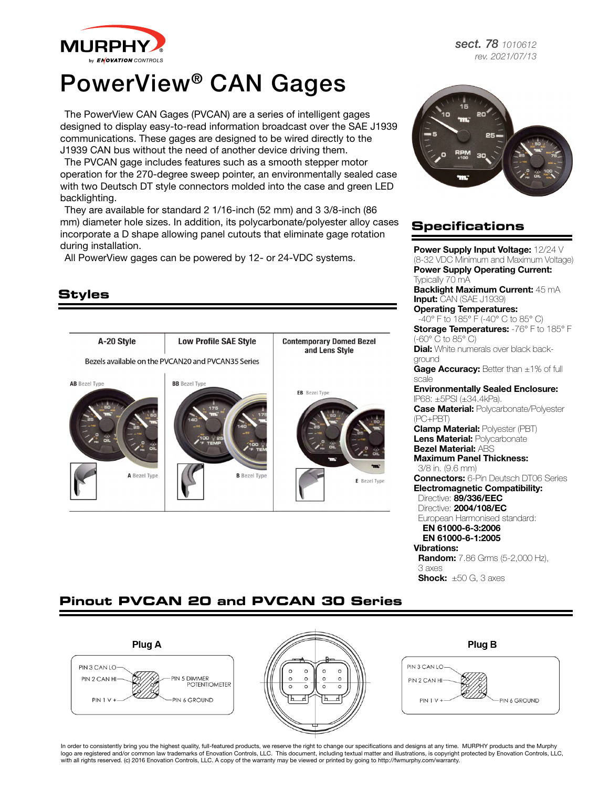

## PowerView® CAN Gages

The PowerView CAN Gages (PVCAN) are a series of intelligent gages designed to display easy-to-read information broadcast over the SAE J1939 communications. These gages are designed to be wired directly to the J1939 CAN bus without the need of another device driving them.

The PVCAN gage includes features such as a smooth stepper motor operation for the 270-degree sweep pointer, an environmentally sealed case with two Deutsch DT style connectors molded into the case and green LED backlighting.

They are available for standard 2 1/16-inch (52 mm) and 3 3/8-inch (86 mm) diameter hole sizes. In addition, its polycarbonate/polyester alloy cases incorporate a D shape allowing panel cutouts that eliminate gage rotation during installation.

All PowerView gages can be powered by 12- or 24-VDC systems.



*sect. 78 1010612 rev. 2021/07/13*



## **Specifications**

Power Supply Input Voltage: 12/24 V (8-32 VDC Minimum and Maximum Voltage) Power Supply Operating Current: Typically 70 mA Backlight Maximum Current: 45 mA Input: CAN (SAE J1939) Operating Temperatures: -40° F to 185° F (-40° C to 85° C) Storage Temperatures: -76° F to 185° F (-60° C to 85° C) **Dial:** White numerals over black background Gage Accuracy: Better than ±1% of full scale Environmentally Sealed Enclosure: IP68: ±5PSI (±34.4kPa). **Case Material: Polycarbonate/Polyester** (PC+PBT) **Clamp Material: Polyester (PBT)** Lens Material: Polycarbonate Bezel Material: ABS Maximum Panel Thickness: 3/8 in. (9.6 mm) **Connectors:** 6-Pin Deutsch DT06 Series Electromagnetic Compatibility: Directive: 89/336/EEC Directive: 2004/108/EC European Harmonised standard: EN 61000-6-3:2006 EN 61000-6-1:2005 Vibrations: **Random:** 7.86 Grms (5-2,000 Hz), 3 axes **Shock:**  $\pm 50$  G, 3 axes

## **Pinout PVCAN 20 and PVCAN 30 Series**



In order to consistently bring you the highest quality, full-featured products, we reserve the right to change our specifications and designs at any time. MURPHY products and the Murphy logo are registered and/or common law trademarks of Enovation Controls, LLC. This document, including textual matter and illustrations, is copyright protected by Enovation Controls, LLC, with all rights reserved. (c) 2016 Enovation Controls, LLC. A copy of the warranty may be viewed or printed by going to http://fwmurphy.com/warranty.